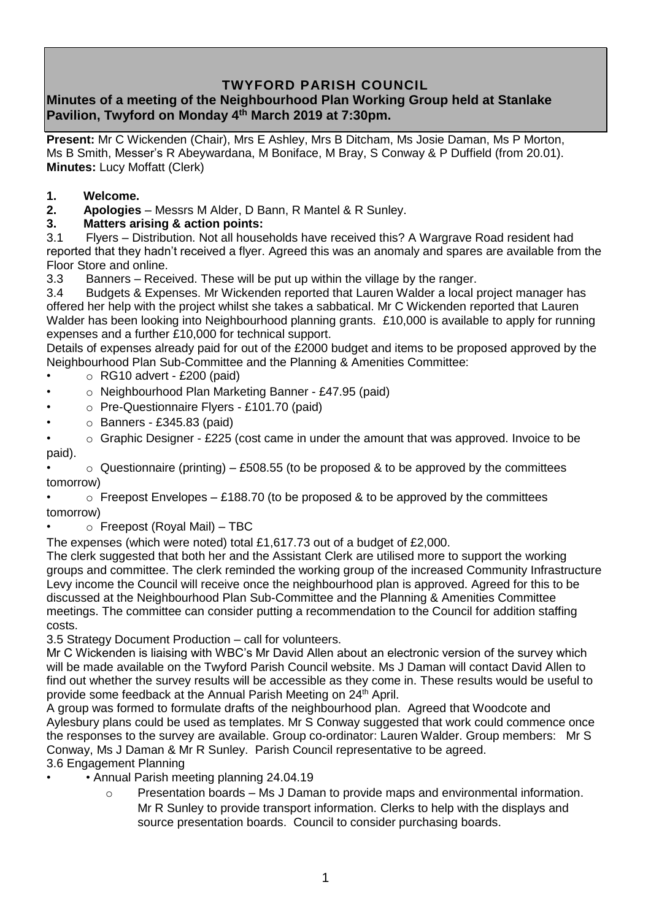# **TWYFORD PARISH COUNCIL**

# **Minutes of a meeting of the Neighbourhood Plan Working Group held at Stanlake Pavilion, Twyford on Monday 4 th March 2019 at 7:30pm.**

**Present:** Mr C Wickenden (Chair), Mrs E Ashley, Mrs B Ditcham, Ms Josie Daman, Ms P Morton, Ms B Smith, Messer's R Abeywardana, M Boniface, M Bray, S Conway & P Duffield (from 20.01). **Minutes:** Lucy Moffatt (Clerk)

- **1. Welcome.**
- **2. Apologies** Messrs M Alder, D Bann, R Mantel & R Sunley.
- **3. Matters arising & action points:**

3.1 Flyers – Distribution. Not all households have received this? A Wargrave Road resident had reported that they hadn't received a flyer. Agreed this was an anomaly and spares are available from the Floor Store and online.

3.3 Banners – Received. These will be put up within the village by the ranger.

3.4 Budgets & Expenses. Mr Wickenden reported that Lauren Walder a local project manager has offered her help with the project whilst she takes a sabbatical. Mr C Wickenden reported that Lauren Walder has been looking into Neighbourhood planning grants. £10,000 is available to apply for running expenses and a further £10,000 for technical support.

Details of expenses already paid for out of the £2000 budget and items to be proposed approved by the Neighbourhood Plan Sub-Committee and the Planning & Amenities Committee:

- $\circ$  RG10 advert £200 (paid)
- o Neighbourhood Plan Marketing Banner £47.95 (paid)
- o Pre-Questionnaire Flyers £101.70 (paid)
- $\circ$  Banners £345.83 (paid)
- $\circ$  Graphic Designer £225 (cost came in under the amount that was approved. Invoice to be paid).

 $\circ$  Questionnaire (printing) – £508.55 (to be proposed & to be approved by the committees tomorrow)

 $\circ$  Freepost Envelopes – £188.70 (to be proposed & to be approved by the committees tomorrow)

 $\circ$  Freepost (Royal Mail) – TBC

The expenses (which were noted) total £1,617.73 out of a budget of £2,000.

The clerk suggested that both her and the Assistant Clerk are utilised more to support the working groups and committee. The clerk reminded the working group of the increased Community Infrastructure Levy income the Council will receive once the neighbourhood plan is approved. Agreed for this to be discussed at the Neighbourhood Plan Sub-Committee and the Planning & Amenities Committee meetings. The committee can consider putting a recommendation to the Council for addition staffing costs.

3.5 Strategy Document Production – call for volunteers.

Mr C Wickenden is liaising with WBC's Mr David Allen about an electronic version of the survey which will be made available on the Twyford Parish Council website. Ms J Daman will contact David Allen to find out whether the survey results will be accessible as they come in. These results would be useful to provide some feedback at the Annual Parish Meeting on 24<sup>th</sup> April.

A group was formed to formulate drafts of the neighbourhood plan. Agreed that Woodcote and Aylesbury plans could be used as templates. Mr S Conway suggested that work could commence once the responses to the survey are available. Group co-ordinator: Lauren Walder. Group members: Mr S Conway, Ms J Daman & Mr R Sunley. Parish Council representative to be agreed.

#### 3.6 Engagement Planning

- Annual Parish meeting planning 24.04.19
	- o Presentation boards Ms J Daman to provide maps and environmental information. Mr R Sunley to provide transport information. Clerks to help with the displays and source presentation boards. Council to consider purchasing boards.